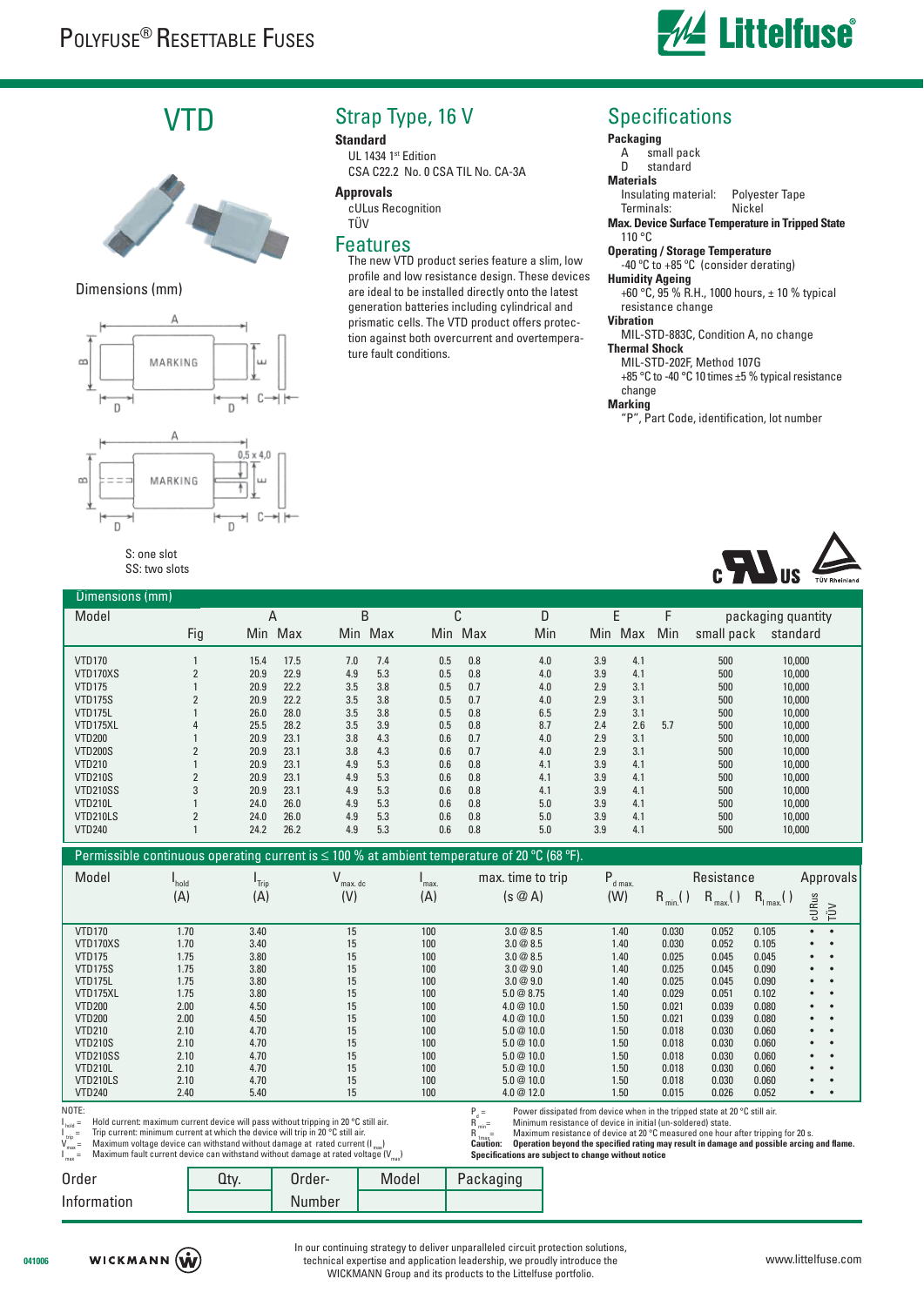

# VTD



### Dimensions (mm)



#### S: one slot SS: two slots

## Strap Type, 16 V

#### **Standard**

UL 1434 1st Edition CSA C22.2 No. 0 CSA TIL No. CA-3A

#### **Approvals**

cULus Recognition TÜV

### Features

The new VTD product series feature a slim, low profile and low resistance design. These devices are ideal to be installed directly onto the latest generation batteries including cylindrical and prismatic cells. The VTD product offers protection against both overcurrent and overtemperature fault conditions.

## **Specifications**

## **Packaging**<br>A sm

A small pack<br>D standard standard

## **Materials**

Insulating material: Polyester Tape Terminals:

**Max. Device Surface Temperature in Tripped State** 110 °C

## **Operating / Storage Temperature**

-40 ºC to +85 ºC (consider derating)

### **Humidity Ageing**

 $+60$  °C, 95 % R.H., 1000 hours,  $\pm$  10 % typical resistance change

#### **Vibration**

 MIL-STD-883C, Condition A, no change **Thermal Shock**

MIL-STD-202F, Method 107G

+85 °C to -40 °C 10 times ±5 % typical resistance change

### **Marking**

"P", Part Code, identification, lot number



| Dimensions (mm)                                                                                                                                                                                                                                                                                                                                                                                                                                                                                                                                                                                                                                                                                                                                                                                                 |                     |                              |                   |                           |            |                     |                   |                |                    |                  |              |
|-----------------------------------------------------------------------------------------------------------------------------------------------------------------------------------------------------------------------------------------------------------------------------------------------------------------------------------------------------------------------------------------------------------------------------------------------------------------------------------------------------------------------------------------------------------------------------------------------------------------------------------------------------------------------------------------------------------------------------------------------------------------------------------------------------------------|---------------------|------------------------------|-------------------|---------------------------|------------|---------------------|-------------------|----------------|--------------------|------------------|--------------|
| Model                                                                                                                                                                                                                                                                                                                                                                                                                                                                                                                                                                                                                                                                                                                                                                                                           |                     | A                            | B                 | C                         |            | D                   | E                 |                | packaging quantity |                  |              |
|                                                                                                                                                                                                                                                                                                                                                                                                                                                                                                                                                                                                                                                                                                                                                                                                                 | Fig                 | Min Max                      | Min Max           |                           | Min Max    | Min                 | Min Max           | Min            | small pack         | standard         |              |
| <b>VTD170</b>                                                                                                                                                                                                                                                                                                                                                                                                                                                                                                                                                                                                                                                                                                                                                                                                   |                     | 17.5<br>15.4                 | 7.0<br>7.4        | 0.5                       | 0.8        | 4.0                 | 3.9<br>4.1        |                | 500                | 10,000           |              |
| VTD170XS                                                                                                                                                                                                                                                                                                                                                                                                                                                                                                                                                                                                                                                                                                                                                                                                        | $\overline{2}$      | 22.9<br>20.9                 | 5.3<br>4.9        | 0.5                       | 0.8        | 4.0                 | 3.9<br>4.1        |                | 500                | 10,000           |              |
| <b>VTD175</b>                                                                                                                                                                                                                                                                                                                                                                                                                                                                                                                                                                                                                                                                                                                                                                                                   |                     | 20.9<br>22.2                 | 3.8<br>3.5        | 0.5                       | 0.7        | 4.0                 | 2.9<br>3.1        |                | 500                | 10,000           |              |
| <b>VTD175S</b>                                                                                                                                                                                                                                                                                                                                                                                                                                                                                                                                                                                                                                                                                                                                                                                                  | $\overline{2}$      | 20.9<br>22.2                 | 3.8<br>3.5        | 0.5                       | 0.7        | 4.0                 | 3.1<br>2.9        |                | 500                | 10,000           |              |
| VTD175L                                                                                                                                                                                                                                                                                                                                                                                                                                                                                                                                                                                                                                                                                                                                                                                                         |                     | 28.0<br>26.0                 | 3.8<br>3.5        | 0.5                       | 0.8        | 6.5                 | 2.9<br>3.1        |                | 500                | 10,000           |              |
| VTD175XL                                                                                                                                                                                                                                                                                                                                                                                                                                                                                                                                                                                                                                                                                                                                                                                                        | 4                   | 25.5<br>28.2                 | 3.9<br>3.5        | 0.5                       | 0.8        | 8.7                 | 2.4<br>2.6        | 5.7            | 500                | 10,000           |              |
| <b>VTD200</b>                                                                                                                                                                                                                                                                                                                                                                                                                                                                                                                                                                                                                                                                                                                                                                                                   |                     | 23.1<br>20.9                 | 4.3<br>3.8        | 0.6                       | 0.7        | 4.0                 | 3.1<br>2.9        |                | 500                | 10,000           |              |
| <b>VTD200S</b>                                                                                                                                                                                                                                                                                                                                                                                                                                                                                                                                                                                                                                                                                                                                                                                                  | $\overline{2}$      | 23.1<br>20.9                 | 4.3<br>3.8        | 0.6                       | 0.7        | 4.0                 | 2.9<br>3.1        |                | 500                | 10,000           |              |
| <b>VTD210</b><br><b>VTD210S</b>                                                                                                                                                                                                                                                                                                                                                                                                                                                                                                                                                                                                                                                                                                                                                                                 |                     | 23.1<br>20.9<br>20.9<br>23.1 | 5.3<br>4.9<br>5.3 | 0.6<br>0.6                | 0.8<br>0.8 | 4.1                 | 3.9<br>4.1<br>3.9 |                | 500<br>500         | 10,000           |              |
| <b>VTD210SS</b>                                                                                                                                                                                                                                                                                                                                                                                                                                                                                                                                                                                                                                                                                                                                                                                                 | $\overline{2}$<br>3 | 20.9<br>23.1                 | 4.9<br>5.3<br>4.9 | 0.6                       | 0.8        | 4.1<br>4.1          | 4.1<br>3.9<br>4.1 |                | 500                | 10,000<br>10,000 |              |
| VTD210L                                                                                                                                                                                                                                                                                                                                                                                                                                                                                                                                                                                                                                                                                                                                                                                                         |                     | 26.0<br>24.0                 | 5.3<br>4.9        | 0.6                       | 0.8        | 5.0                 | 3.9<br>4.1        |                | 500                | 10,000           |              |
| VTD210LS                                                                                                                                                                                                                                                                                                                                                                                                                                                                                                                                                                                                                                                                                                                                                                                                        | $\overline{2}$      | 24.0<br>26.0                 | 5.3<br>4.9        | 0.6                       | 0.8        | 5.0                 | 3.9<br>4.1        |                | 500                | 10,000           |              |
| <b>VTD240</b>                                                                                                                                                                                                                                                                                                                                                                                                                                                                                                                                                                                                                                                                                                                                                                                                   | $\mathbf{1}$        | 24.2<br>26.2                 | 5.3<br>4.9        | 0.6                       | 0.8        | 5.0                 | 3.9<br>4.1        |                | 500                | 10,000           |              |
| Permissible continuous operating current is $\leq$ 100 % at ambient temperature of 20 °C (68 °F).                                                                                                                                                                                                                                                                                                                                                                                                                                                                                                                                                                                                                                                                                                               |                     |                              |                   |                           |            |                     |                   |                |                    |                  |              |
|                                                                                                                                                                                                                                                                                                                                                                                                                                                                                                                                                                                                                                                                                                                                                                                                                 |                     |                              |                   |                           |            |                     |                   |                |                    |                  |              |
| Model                                                                                                                                                                                                                                                                                                                                                                                                                                                                                                                                                                                                                                                                                                                                                                                                           | I <sub>hold</sub>   | I <sub>Trip</sub>            | ٧<br>max. dc      | $\mathbf{I}_{\text{max}}$ |            | max. time to trip   | $P_{d \max}$      |                | Resistance         |                  | Approvals    |
|                                                                                                                                                                                                                                                                                                                                                                                                                                                                                                                                                                                                                                                                                                                                                                                                                 | (A)                 | (A)                          | (V)               | (A)                       |            | $(s \oslash A)$     | (W)               | $R_{min}$ ( )  | $R_{max}$ ()       | $R_{1 max}$ ()   |              |
|                                                                                                                                                                                                                                                                                                                                                                                                                                                                                                                                                                                                                                                                                                                                                                                                                 |                     |                              |                   |                           |            |                     |                   |                |                    |                  | cURus<br>TÜV |
| <b>VTD170</b>                                                                                                                                                                                                                                                                                                                                                                                                                                                                                                                                                                                                                                                                                                                                                                                                   | 1.70                | 3.40                         | 15                | 100                       |            | 3.0@8.5             | 1.40              | 0.030          | 0.052              | 0.105            | $\bullet$    |
| VTD170XS                                                                                                                                                                                                                                                                                                                                                                                                                                                                                                                                                                                                                                                                                                                                                                                                        | 1.70                | 3.40                         | 15                | 100                       |            | 3.0@8.5             | 1.40              | 0.030          | 0.052              | 0.105            | ٠            |
| <b>VTD175</b>                                                                                                                                                                                                                                                                                                                                                                                                                                                                                                                                                                                                                                                                                                                                                                                                   | 1.75                | 3.80                         | 15                | 100                       |            | 3.0@8.5             | 1.40              | 0.025          | 0.045              | 0.045            |              |
| <b>VTD175S</b>                                                                                                                                                                                                                                                                                                                                                                                                                                                                                                                                                                                                                                                                                                                                                                                                  | 1.75                | 3.80                         | 15                | 100                       |            | 3.0@9.0             | 1.40              | 0.025          | 0.045              | 0.090            |              |
| VTD175L<br>VTD175XL                                                                                                                                                                                                                                                                                                                                                                                                                                                                                                                                                                                                                                                                                                                                                                                             | 1.75<br>1.75        | 3.80<br>3.80                 | 15<br>15          | 100<br>100                |            | 3.0@9.0<br>5.0@8.75 | 1.40<br>1.40      | 0.025<br>0.029 | 0.045<br>0.051     | 0.090<br>0.102   | ٠            |
| <b>VTD200</b>                                                                                                                                                                                                                                                                                                                                                                                                                                                                                                                                                                                                                                                                                                                                                                                                   | 2.00                | 4.50                         | 15                | 100                       |            | 4.0 @ 10.0          | 1.50              | 0.021          | 0.039              | 0.080            |              |
| <b>VTD200</b>                                                                                                                                                                                                                                                                                                                                                                                                                                                                                                                                                                                                                                                                                                                                                                                                   | 2.00                | 4.50                         | 15                | 100                       |            | 4.0 @ 10.0          | 1.50              | 0.021          | 0.039              | 0.080            |              |
| <b>VTD210</b>                                                                                                                                                                                                                                                                                                                                                                                                                                                                                                                                                                                                                                                                                                                                                                                                   | 2.10                | 4.70                         | 15                | 100                       |            | 5.0@10.0            | 1.50              | 0.018          | 0.030              | 0.060            |              |
| <b>VTD210S</b>                                                                                                                                                                                                                                                                                                                                                                                                                                                                                                                                                                                                                                                                                                                                                                                                  | 2.10                | 4.70                         | 15                | 100                       |            | 5.0@10.0            | 1.50              | 0.018          | 0.030              | 0.060            |              |
| <b>VTD210SS</b>                                                                                                                                                                                                                                                                                                                                                                                                                                                                                                                                                                                                                                                                                                                                                                                                 | 2.10                | 4.70                         | 15                | 100                       |            | 5.0@10.0            | 1.50              | 0.018          | 0.030              | 0.060            |              |
| VTD210L                                                                                                                                                                                                                                                                                                                                                                                                                                                                                                                                                                                                                                                                                                                                                                                                         | 2.10                | 4.70                         | 15                | 100                       |            | 5.0@10.0            | 1.50              | 0.018          | 0.030              | 0.060            |              |
| VTD210LS                                                                                                                                                                                                                                                                                                                                                                                                                                                                                                                                                                                                                                                                                                                                                                                                        | 2.10                | 4.70                         | 15                | 100                       |            | 5.0@10.0            | 1.50              | 0.018          | 0.030              | 0.060            |              |
| <b>VTD240</b>                                                                                                                                                                                                                                                                                                                                                                                                                                                                                                                                                                                                                                                                                                                                                                                                   | 2.40                | 5.40                         | 15                | 100                       |            | 4.0 @ 12.0          | 1.50              | 0.015          | 0.026              | 0.052            | $\bullet$    |
| NOTE:<br>$P_d =$<br>$R_{min}^d =$<br>Power dissipated from device when in the tripped state at 20 °C still air.<br>Hold current: maximum current device will pass without tripping in 20 °C still air.<br>Minimum resistance of device in initial (un-soldered) state.<br>$=$ hold<br>Trip current: minimum current at which the device will trip in 20 °C still air.<br>Maximum resistance of device at 20 °C measured one hour after tripping for 20 s.<br>$R_{1max}$ =<br>$_{\rm trip}$ =<br>Maximum voltage device can withstand without damage at rated current (I <sub>max</sub> )<br>$\mathcal{N}_{\text{max}}$<br>Operation beyond the specified rating may result in damage and possible arcing and flame.<br><b>Caution:</b><br>and the state of the control of the control of the field of the state |                     |                              |                   |                           |            |                     |                   |                |                    |                  |              |

I m fault current device can withstand without damage at rated voltage (V

**Specifi cations are subject to change without notice**

| Order       | Order- | Model | Packaging |
|-------------|--------|-------|-----------|
| Information | Number |       |           |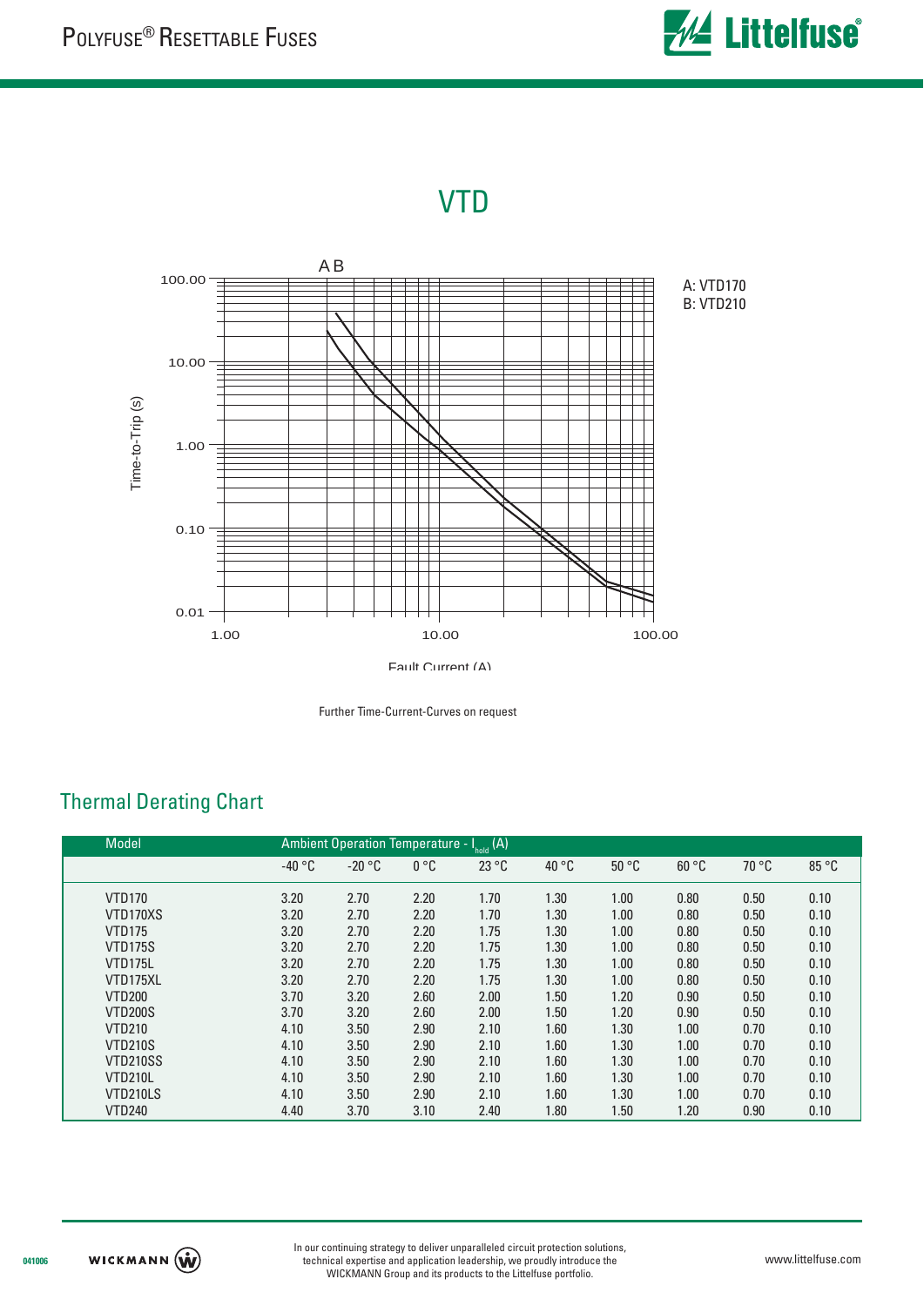

# VTD



Further Time-Current-Curves on request

| <b>Model</b>    | Ambient Operation Temperature - $I_{\text{hold}}(A)$ |          |      |       |       |       |       |       |       |
|-----------------|------------------------------------------------------|----------|------|-------|-------|-------|-------|-------|-------|
|                 | $-40 °C$                                             | $-20 °C$ | 0 °C | 23 °C | 40 °C | 50 °C | 60 °C | 70 °C | 85 °C |
| <b>VTD170</b>   | 3.20                                                 | 2.70     | 2.20 | 1.70  | 1.30  | 1.00  | 0.80  | 0.50  | 0.10  |
| VTD170XS        | 3.20                                                 | 2.70     | 2.20 | 1.70  | 1.30  | 1.00  | 0.80  | 0.50  | 0.10  |
| <b>VTD175</b>   | 3.20                                                 | 2.70     | 2.20 | 1.75  | 1.30  | 1.00  | 0.80  | 0.50  | 0.10  |
| <b>VTD175S</b>  | 3.20                                                 | 2.70     | 2.20 | 1.75  | 1.30  | 1.00  | 0.80  | 0.50  | 0.10  |
| VTD175L         | 3.20                                                 | 2.70     | 2.20 | 1.75  | 1.30  | 1.00  | 0.80  | 0.50  | 0.10  |
| VTD175XL        | 3.20                                                 | 2.70     | 2.20 | 1.75  | 1.30  | 1.00  | 0.80  | 0.50  | 0.10  |
| <b>VTD200</b>   | 3.70                                                 | 3.20     | 2.60 | 2.00  | 1.50  | 1.20  | 0.90  | 0.50  | 0.10  |
| <b>VTD200S</b>  | 3.70                                                 | 3.20     | 2.60 | 2.00  | 1.50  | 1.20  | 0.90  | 0.50  | 0.10  |
| <b>VTD210</b>   | 4.10                                                 | 3.50     | 2.90 | 2.10  | 1.60  | 1.30  | 1.00  | 0.70  | 0.10  |
| <b>VTD210S</b>  | 4.10                                                 | 3.50     | 2.90 | 2.10  | 1.60  | 1.30  | 1.00  | 0.70  | 0.10  |
| <b>VTD210SS</b> | 4.10                                                 | 3.50     | 2.90 | 2.10  | 1.60  | 1.30  | 1.00  | 0.70  | 0.10  |
| VTD210L         | 4.10                                                 | 3.50     | 2.90 | 2.10  | 1.60  | 1.30  | 1.00  | 0.70  | 0.10  |
| VTD210LS        | 4.10                                                 | 3.50     | 2.90 | 2.10  | 1.60  | 1.30  | 1.00  | 0.70  | 0.10  |
| <b>VTD240</b>   | 4.40                                                 | 3.70     | 3.10 | 2.40  | 1.80  | 1.50  | 1.20  | 0.90  | 0.10  |

## Thermal Derating Chart